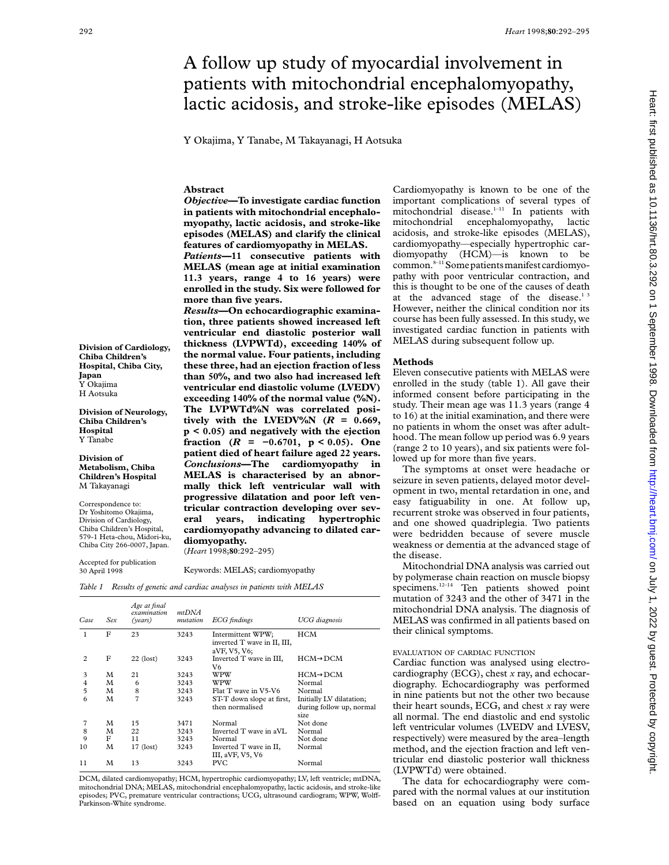# A follow up study of myocardial involvement in patients with mitochondrial encephalomyopathy, lactic acidosis, and stroke-like episodes (MELAS)

Y Okajima, Y Tanabe, M Takayanagi, H Aotsuka

## **Abstract**

*Objective***—To investigate cardiac function in patients with mitochondrial encephalomyopathy, lactic acidosis, and stroke-like episodes (MELAS) and clarify the clinical features of cardiomyopathy in MELAS.**

*Patients***—11 consecutive patients with MELAS (mean age at initial examination 11.3 years, range 4 to 16 years) were enrolled in the study. Six were followed for more than five years.**

*Results***—On echocardiographic examination, three patients showed increased left ventricular end diastolic posterior wall thickness (LVPWTd), exceeding 140% of the normal value. Four patients, including these three, had an ejection fraction of less than 50%, and two also had increased left ventricular end diastolic volume (LVEDV) exceeding 140% of the normal value (%N). The LVPWTd%N was correlated posi**tively with the LVEDV%N  $(R = 0.669)$ , **p < 0.05) and negatively with the ejection fraction (***R* **= −0.6701, p < 0.05). One patient died of heart failure aged 22 years.** *Conclusions***—The cardiomyopathy in MELAS is characterised by an abnormally thick left ventricular wall with progressive dilatation and poor left ventricular contraction developing over several years, indicating hypertrophic cardiomyopathy advancing to dilated cardiomyopathy.** (*Heart* 1998;**80**:292–295)

### Keywords: MELAS; cardiomyopathy

*Table 1 Results of genetic and cardiac analyses in patients with MELAS*

| Case           | Sex | Age at final<br>examination<br>(years) | mtDNA<br>mutation | <b>ECG</b> findings                                              | <b>UCG</b> diagnosis                                         |  |
|----------------|-----|----------------------------------------|-------------------|------------------------------------------------------------------|--------------------------------------------------------------|--|
| 1              | F   | 23                                     | 3243              | Intermittent WPW;<br>inverted T wave in II, III,<br>aVF, V5, V6, | HCM                                                          |  |
| $\overline{c}$ | F   | $22$ (lost)                            | 3243              | Inverted T wave in III,<br>V6                                    | $HCM \rightarrow DCM$                                        |  |
| 3              | М   | 21                                     | 3243              | WPW                                                              | $HCM \rightarrow DCM$                                        |  |
| 4              | M   | 6                                      | 3243              | WPW                                                              | Normal                                                       |  |
| 5              | M   | 8                                      | 3243              | Flat T wave in V5-V6                                             | Normal                                                       |  |
| 6              | M   | 7                                      | 3243              | ST-T down slope at first,<br>then normalised                     | Initially LV dilatation;<br>during follow up, normal<br>size |  |
| 7              | М   | 15                                     | 3471              | Normal                                                           | Not done                                                     |  |
| 8              | M   | 22                                     | 3243              | Inverted T wave in aVL                                           | Normal                                                       |  |
| 9              | F   | 11                                     | 3243              | Normal                                                           | Not done                                                     |  |
| 10             | M   | $17$ (lost)                            | 3243              | Inverted T wave in II,<br>III, aVF, V5, V6                       | Normal                                                       |  |
| 11             | м   | 13                                     | 3243              | <b>PVC</b>                                                       | Normal                                                       |  |

DCM, dilated cardiomyopathy; HCM, hypertrophic cardiomyopathy; LV, left ventricle; mtDNA, mitochondrial DNA; MELAS, mitochondrial encephalomyopathy, lactic acidosis, and stroke-like episodes; PVC, premature ventricular contractions; UCG, ultrasound cardiogram; WPW, Wolff-Parkinson-White syndrome.

Cardiomyopathy is known to be one of the important complications of several types of mitochondrial disease.<sup>1-11</sup> In patients with mitochondrial encephalomyopathy, lactic acidosis, and stroke-like episodes (MELAS), cardiomyopathy—especially hypertrophic cardiomyopathy (HCM)—is known to be common.<sup>8-11</sup> Some patients manifest cardiomyopathy with poor ventricular contraction, and this is thought to be one of the causes of death at the advanced stage of the disease.<sup>13</sup> However, neither the clinical condition nor its course has been fully assessed. In this study, we investigated cardiac function in patients with MELAS during subsequent follow up.

#### **Methods**

Eleven consecutive patients with MELAS were enrolled in the study (table 1). All gave their informed consent before participating in the study. Their mean age was 11.3 years (range 4 to 16) at the initial examination, and there were no patients in whom the onset was after adulthood. The mean follow up period was 6.9 years (range 2 to 10 years), and six patients were followed up for more than five years.

The symptoms at onset were headache or seizure in seven patients, delayed motor development in two, mental retardation in one, and easy fatiguability in one. At follow up, recurrent stroke was observed in four patients, and one showed quadriplegia. Two patients were bedridden because of severe muscle weakness or dementia at the advanced stage of the disease.

Mitochondrial DNA analysis was carried out by polymerase chain reaction on muscle biopsy specimens.<sup>12-14</sup> Ten patients showed point mutation of 3243 and the other of 3471 in the mitochondrial DNA analysis. The diagnosis of MELAS was confirmed in all patients based on their clinical symptoms.

#### EVALUATION OF CARDIAC FUNCTION

Cardiac function was analysed using electrocardiography (ECG), chest *x* ray, and echocardiography. Echocardiography was performed in nine patients but not the other two because their heart sounds, ECG, and chest *x* ray were all normal. The end diastolic and end systolic left ventricular volumes (LVEDV and LVESV, respectively) were measured by the area–length method, and the ejection fraction and left ventricular end diastolic posterior wall thickness (LVPWTd) were obtained.

Heart: first published as 10.1136/hrt.80.3.292 on 1 September 1998. Downloaded from http://heart.bmj.com/ on July 1, 2022 by guest. Protected by copyright on July 1, 2022 by guest. Protected by copyright. <http://heart.bmj.com/> Heart: first published as 10.1136/hrt.80.3.292 on 1 September 1998. Downloaded from

The data for echocardiography were compared with the normal values at our institution based on an equation using body surface

**Division of Cardiology, Chiba Children's Hospital, Chiba City, Japan** Y Okajima H Aotsuka

**Division of Neurology, Chiba Children's Hospital** Y Tanabe

**Division of Metabolism, Chiba Children's Hospital** M Takayanagi

Correspondence to: Dr Yoshitomo Okajima, Division of Cardiology, Chiba Children's Hospital, 579-1 Heta-chou, Midori-ku, Chiba City 266-0007, Japan.

Accepted for publication 30 April 1998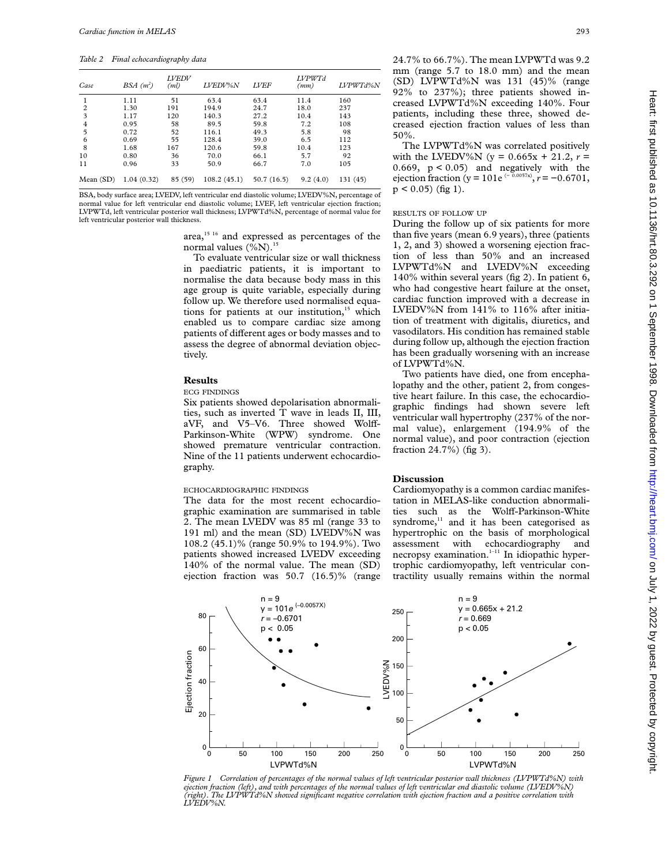*Table 2 Final echocardiography data*

| Case           | $BSA(m^2)$ | <b>LVEDV</b><br>(ml) | LVEDV%N     | <b>LVEF</b> | <b>LVPWTd</b><br>(mm) | LVPWTd%N |
|----------------|------------|----------------------|-------------|-------------|-----------------------|----------|
|                | 1.11       | 51                   | 63.4        | 63.4        | 11.4                  | 160      |
| $\overline{c}$ | 1.30       | 191                  | 194.9       | 24.7        | 18.0                  | 237      |
| 3              | 1.17       | 120                  | 140.3       | 27.2        | 10.4                  | 143      |
| 4              | 0.95       | 58                   | 89.5        | 59.8        | 7.2                   | 108      |
| 5              | 0.72       | 52                   | 116.1       | 49.3        | 5.8                   | 98       |
| 6              | 0.69       | 55                   | 128.4       | 39.0        | 6.5                   | 112      |
| 8              | 1.68       | 167                  | 120.6       | 59.8        | 10.4                  | 123      |
| 10             | 0.80       | 36                   | 70.0        | 66.1        | 5.7                   | 92       |
| 11             | 0.96       | 33                   | 50.9        | 66.7        | 7.0                   | 105      |
| Mean(SD)       | 1.04(0.32) | 85 (59)              | 108.2(45.1) | 50.7(16.5)  | 9.2(4.0)              | 131 (45) |

BSA, body surface area; LVEDV, left ventricular end diastolic volume; LVEDV%N, percentage of normal value for left ventricular end diastolic volume; LVEF, left ventricular ejection fraction; LVPWTd, left ventricular posterior wall thickness; LVPWTd%N, percentage of normal value for left ventricular posterior wall thickness.

> area,<sup>15 16</sup> and expressed as percentages of the normal values  $(\%N)^{15}$

To evaluate ventricular size or wall thickness in paediatric patients, it is important to normalise the data because body mass in this age group is quite variable, especially during follow up. We therefore used normalised equations for patients at our institution,<sup>15</sup> which enabled us to compare cardiac size among patients of different ages or body masses and to assess the degree of abnormal deviation objectively.

## **Results**

#### ECG FINDINGS

Six patients showed depolarisation abnormalities, such as inverted T wave in leads II, III, aVF, and V5-V6. Three showed Wolff-Parkinson-White (WPW) syndrome. One showed premature ventricular contraction. Nine of the 11 patients underwent echocardiography.

# ECHOCARDIOGRAPHIC FINDINGS

The data for the most recent echocardiographic examination are summarised in table 2. The mean LVEDV was 85 ml (range 33 to 191 ml) and the mean (SD) LVEDV%N was 108.2 (45.1)% (range 50.9% to 194.9%). Two patients showed increased LVEDV exceeding 140% of the normal value. The mean (SD) ejection fraction was 50.7 (16.5)% (range

24.7% to 66.7%). The mean LVPWTd was 9.2 mm (range 5.7 to 18.0 mm) and the mean (SD) LVPWTd%N was 131 (45)% (range 92% to 237%); three patients showed increased LVPWTd%N exceeding 140%. Four patients, including these three, showed decreased ejection fraction values of less than 50%.

The LVPWTd%N was correlated positively with the LVEDV%N ( $y = 0.665x + 21.2$ ,  $r =$ 0.669,  $p < 0.05$ ) and negatively with the ejection fraction (y = 101e<sup> $(-0.0057x)$ </sup>,  $r = -0.6701$ ,  $p < 0.05$ ) (fig 1).

#### RESULTS OF FOLLOW UP

During the follow up of six patients for more than five years (mean 6.9 years), three (patients 1, 2, and 3) showed a worsening ejection fraction of less than 50% and an increased LVPWTd%N and LVEDV%N exceeding 140% within several years (fig 2). In patient 6, who had congestive heart failure at the onset, cardiac function improved with a decrease in LVEDV%N from 141% to 116% after initiation of treatment with digitalis, diuretics, and vasodilators. His condition has remained stable during follow up, although the ejection fraction has been gradually worsening with an increase of LVPWTd%N.

Two patients have died, one from encephalopathy and the other, patient 2, from congestive heart failure. In this case, the echocardiographic findings had shown severe left ventricular wall hypertrophy (237% of the normal value), enlargement (194.9% of the normal value), and poor contraction (ejection fraction 24.7%) (fig 3).

# **Discussion**

Cardiomyopathy is a common cardiac manifestation in MELAS-like conduction abnormalities such as the Wolff-Parkinson-White syndrome,<sup>11</sup> and it has been categorised as hypertrophic on the basis of morphological assessment with echocardiography and necropsy examination.<sup>1-11</sup> In idiopathic hypertrophic cardiomyopathy, left ventricular contractility usually remains within the normal



*Figure 1 Correlation of percentages of the normal values of left ventricular posterior wall thickness (LVPWTd%N) with ejection fraction (left), and with percentages of the normal values of left ventricular end diastolic volume (LVEDV%N) (right). The LVPWTd%N showed significant negative correlation with ejection fraction and a positive correlation with LVEDV%N.*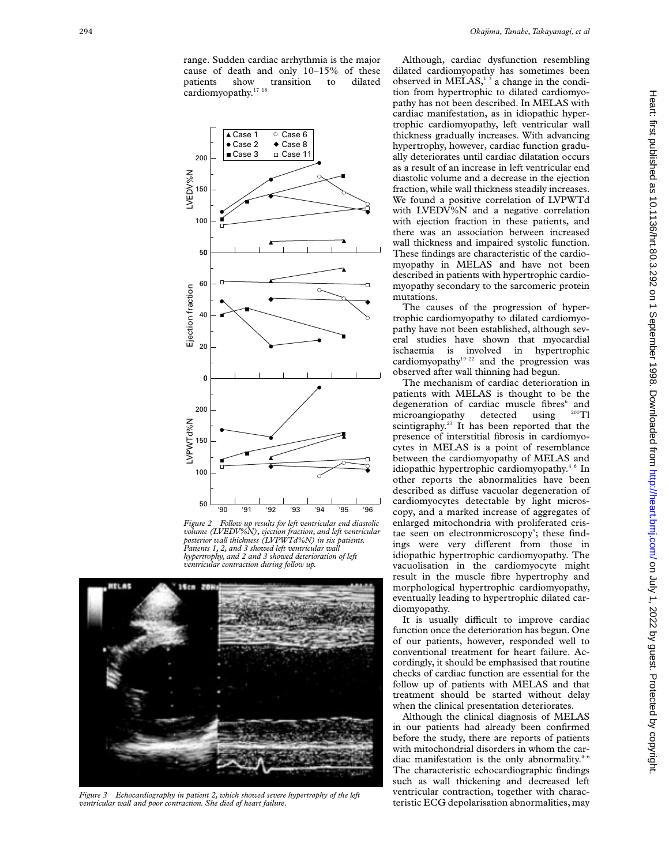

*Figure 2 Follow up results for left ventricular end diastolic volume (LVEDV%N), ejection fraction, and left ventricular posterior wall thickness (LVPWTd%N) in six patients. Patients 1, 2, and 3 showed left ventricular wall hypertrophy, and 2 and 3 showed deterioration of left ventricular contraction during follow up.*



*Figure 3 Echocardiography in patient 2, which showed severe hypertrophy of the left ventricular wall and poor contraction. She died of heart failure.*

Although, cardiac dysfunction resembling dilated cardiomyopathy has sometimes been observed in MELAS,<sup>13</sup> a change in the condition from hypertrophic to dilated cardiomyopathy has not been described. In MELAS with cardiac manifestation, as in idiopathic hypertrophic cardiomyopathy, left ventricular wall thickness gradually increases. With advancing hypertrophy, however, cardiac function gradually deteriorates until cardiac dilatation occurs as a result of an increase in left ventricular end diastolic volume and a decrease in the ejection fraction, while wall thickness steadily increases. We found a positive correlation of LVPWTd with LVEDV%N and a negative correlation with ejection fraction in these patients, and there was an association between increased wall thickness and impaired systolic function. These findings are characteristic of the cardiomyopathy in MELAS and have not been described in patients with hypertrophic cardiomyopathy secondary to the sarcomeric protein mutations.

The causes of the progression of hypertrophic cardiomyopathy to dilated cardiomyopathy have not been established, although several studies have shown that myocardial ischaemia is involved in hypertrophic cardiomyopathy<sup>19–22</sup> and the progression was observed after wall thinning had begun.

The mechanism of cardiac deterioration in patients with MELAS is thought to be the degeneration of cardiac muscle fibres<sup>6</sup> and microangiopathy detected using <sup>201</sup>Tl scintigraphy.<sup>23</sup> It has been reported that the presence of interstitial fibrosis in cardiomyocytes in MELAS is a point of resemblance between the cardiomyopathy of MELAS and idiopathic hypertrophic cardiomyopathy.<sup>46</sup> In other reports the abnormalities have been described as diffuse vacuolar degeneration of cardiomyocytes detectable by light microscopy, and a marked increase of aggregates of enlarged mitochondria with proliferated cristae seen on electronmicroscopy<sup>9</sup>; these findings were very different from those in idiopathic hypertrophic cardiomyopathy. The vacuolisation in the cardiomyocyte might result in the muscle fibre hypertrophy and morphological hypertrophic cardiomyopathy, eventually leading to hypertrophic dilated cardiomyopathy.

It is usually difficult to improve cardiac function once the deterioration has begun. One of our patients, however, responded well to conventional treatment for heart failure. Accordingly, it should be emphasised that routine checks of cardiac function are essential for the follow up of patients with MELAS and that treatment should be started without delay when the clinical presentation deteriorates.

Although the clinical diagnosis of MELAS in our patients had already been confirmed before the study, there are reports of patients with mitochondrial disorders in whom the cardiac manifestation is the only abnormality. $4-6$ The characteristic echocardiographic findings such as wall thickening and decreased left ventricular contraction, together with characteristic ECG depolarisation abnormalities, may